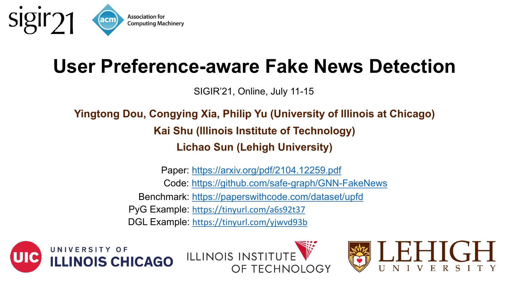

## **User Preference-aware Fake N**

[SIGIR'21, Online, July](https://tinyurl.com/yjwvd93b) 11-15

## **Yingtong Dou, Congying Xia, Philip Yu (University Kai Shu (Illinois Institute of Technology) Lichao Sun (Lehigh Universit)**

Code: https://github.com/safe-graph/G Benchmark: https://paperswithcode.com/dat Paper: https://arxiv.org/pdf/2104.12259 PyG Example: https://tinyurl.com/a6s92t37 DGL Example: https://tinyurl.com/yjwvd93b



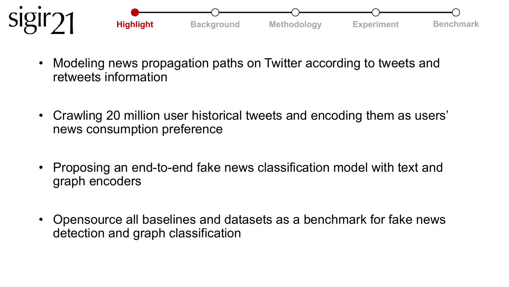

- Modeling news propagation paths on Twitter according to tweets and retweets information
- Crawling 20 million user historical tweets and encoding them as users' news consumption preference
- Proposing an end-to-end fake news classification model with text and graph encoders
- Opensource all baselines and datasets as a benchmark for fake news detection and graph classification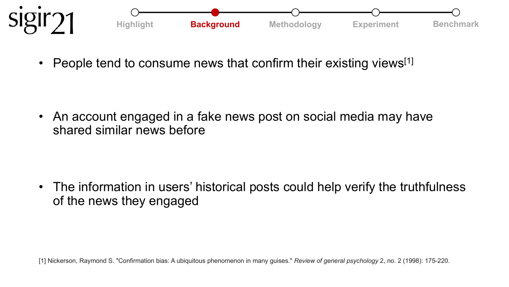

People tend to consume news that confirm their existing views<sup>[1]</sup>

• An account engaged in a fake news post on social media may have shared similar news before

• The information in users' historical posts could help verify the truthfulness of the news they engaged

[1] Nickerson, Raymond S. "Confirmation bias: A ubiquitous phenomenon in many guises." *Review of general psychology* 2, no. 2 (1998): 175-220.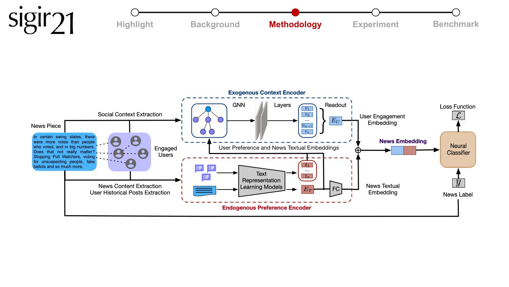

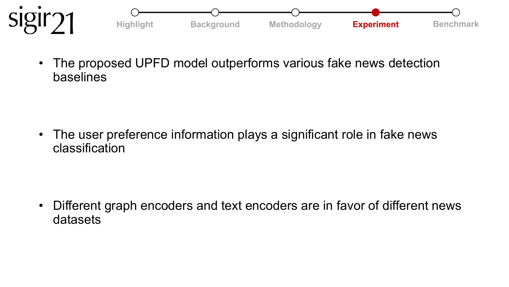

• The proposed UPFD model outperforms various fake news detection baselines

• The user preference information plays a significant role in fake news classification

• Different graph encoders and text encoders are in favor of different news datasets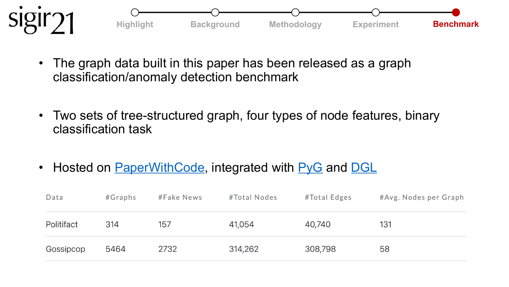

- The graph data built in this paper has been releas classification/anomaly detection benchmark
- Two sets of tree-structured graph, four types of r classification task
- Hosted on PaperWithCode, integrated with PyG

| Data       | #Graphs | #Fake News | #Total Nodes | #Tota |
|------------|---------|------------|--------------|-------|
| Politifact | 314     | 157        | 41,054       | 40,74 |
| Gossipcop  | 5464    | 2732       | 314,262      | 308,7 |